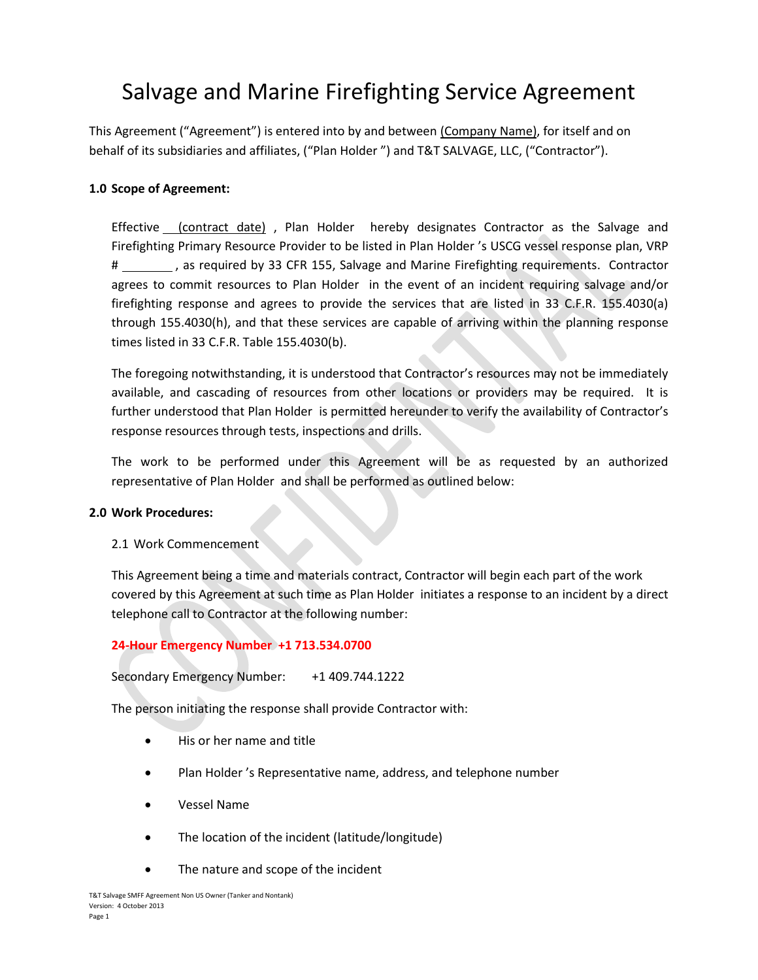# Salvage and Marine Firefighting Service Agreement

This Agreement ("Agreement") is entered into by and between (Company Name), for itself and on behalf of its subsidiaries and affiliates, ("Plan Holder ") and T&T SALVAGE, LLC, ("Contractor").

## **1.0 Scope of Agreement:**

Effective (contract date) , Plan Holder hereby designates Contractor as the Salvage and Firefighting Primary Resource Provider to be listed in Plan Holder 's USCG vessel response plan, VRP # \_\_\_\_\_\_\_\_\_, as required by 33 CFR 155, Salvage and Marine Firefighting requirements. Contractor agrees to commit resources to Plan Holder in the event of an incident requiring salvage and/or firefighting response and agrees to provide the services that are listed in 33 C.F.R. 155.4030(a) through 155.4030(h), and that these services are capable of arriving within the planning response times listed in 33 C.F.R. Table 155.4030(b).

The foregoing notwithstanding, it is understood that Contractor's resources may not be immediately available, and cascading of resources from other locations or providers may be required. It is further understood that Plan Holder is permitted hereunder to verify the availability of Contractor's response resources through tests, inspections and drills.

The work to be performed under this Agreement will be as requested by an authorized representative of Plan Holder and shall be performed as outlined below:

## **2.0 Work Procedures:**

## 2.1 Work Commencement

This Agreement being a time and materials contract, Contractor will begin each part of the work covered by this Agreement at such time as Plan Holder initiates a response to an incident by a direct telephone call to Contractor at the following number:

## **24-Hour Emergency Number +1 713.534.0700**

Secondary Emergency Number: +1 409.744.1222

The person initiating the response shall provide Contractor with:

- His or her name and title
- Plan Holder 's Representative name, address, and telephone number
- x Vessel Name
- The location of the incident (latitude/longitude)
- The nature and scope of the incident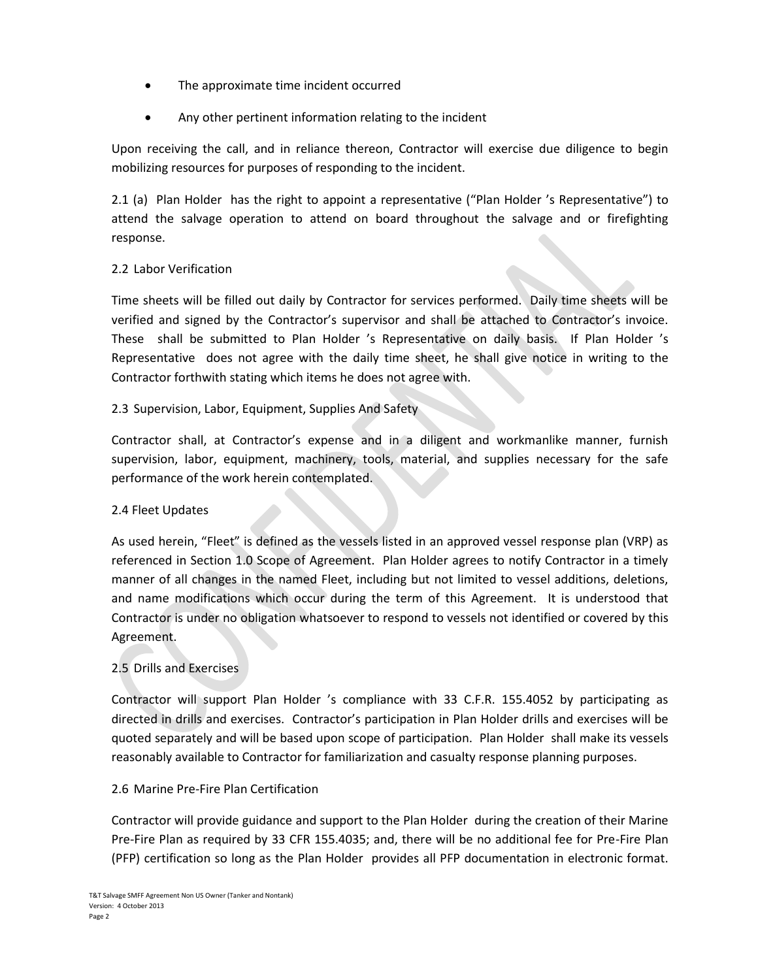- The approximate time incident occurred
- Any other pertinent information relating to the incident

Upon receiving the call, and in reliance thereon, Contractor will exercise due diligence to begin mobilizing resources for purposes of responding to the incident.

2.1 (a) Plan Holder has the right to appoint a representative ("Plan Holder 's Representative") to attend the salvage operation to attend on board throughout the salvage and or firefighting response.

## 2.2 Labor Verification

Time sheets will be filled out daily by Contractor for services performed. Daily time sheets will be verified and signed by the Contractor's supervisor and shall be attached to Contractor's invoice. These shall be submitted to Plan Holder 's Representative on daily basis. If Plan Holder 's Representative does not agree with the daily time sheet, he shall give notice in writing to the Contractor forthwith stating which items he does not agree with.

## 2.3 Supervision, Labor, Equipment, Supplies And Safety

Contractor shall, at Contractor's expense and in a diligent and workmanlike manner, furnish supervision, labor, equipment, machinery, tools, material, and supplies necessary for the safe performance of the work herein contemplated.

## 2.4 Fleet Updates

As used herein, "Fleet" is defined as the vessels listed in an approved vessel response plan (VRP) as referenced in Section 1.0 Scope of Agreement. Plan Holder agrees to notify Contractor in a timely manner of all changes in the named Fleet, including but not limited to vessel additions, deletions, and name modifications which occur during the term of this Agreement. It is understood that Contractor is under no obligation whatsoever to respond to vessels not identified or covered by this Agreement.

# 2.5 Drills and Exercises

Contractor will support Plan Holder 's compliance with 33 C.F.R. 155.4052 by participating as directed in drills and exercises. Contractor's participation in Plan Holder drills and exercises will be quoted separately and will be based upon scope of participation. Plan Holder shall make its vessels reasonably available to Contractor for familiarization and casualty response planning purposes.

## 2.6 Marine Pre-Fire Plan Certification

Contractor will provide guidance and support to the Plan Holder during the creation of their Marine Pre-Fire Plan as required by 33 CFR 155.4035; and, there will be no additional fee for Pre-Fire Plan (PFP) certification so long as the Plan Holder provides all PFP documentation in electronic format.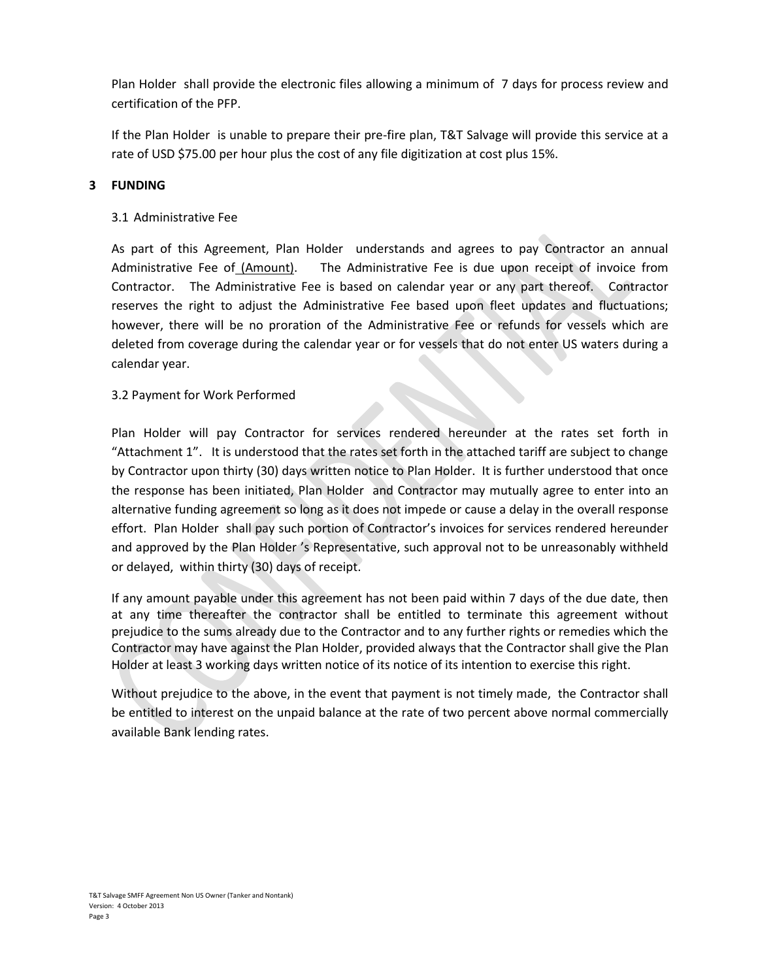Plan Holder shall provide the electronic files allowing a minimum of 7 days for process review and certification of the PFP.

If the Plan Holder is unable to prepare their pre-fire plan, T&T Salvage will provide this service at a rate of USD \$75.00 per hour plus the cost of any file digitization at cost plus 15%.

## **3 FUNDING**

## 3.1 Administrative Fee

As part of this Agreement, Plan Holder understands and agrees to pay Contractor an annual Administrative Fee of (Amount). The Administrative Fee is due upon receipt of invoice from Contractor. The Administrative Fee is based on calendar year or any part thereof. Contractor reserves the right to adjust the Administrative Fee based upon fleet updates and fluctuations; however, there will be no proration of the Administrative Fee or refunds for vessels which are deleted from coverage during the calendar year or for vessels that do not enter US waters during a calendar year.

## 3.2 Payment for Work Performed

Plan Holder will pay Contractor for services rendered hereunder at the rates set forth in "Attachment 1". It is understood that the rates set forth in the attached tariff are subject to change by Contractor upon thirty (30) days written notice to Plan Holder. It is further understood that once the response has been initiated, Plan Holder and Contractor may mutually agree to enter into an alternative funding agreement so long as it does not impede or cause a delay in the overall response effort. Plan Holder shall pay such portion of Contractor's invoices for services rendered hereunder and approved by the Plan Holder 's Representative, such approval not to be unreasonably withheld or delayed, within thirty (30) days of receipt.

If any amount payable under this agreement has not been paid within 7 days of the due date, then at any time thereafter the contractor shall be entitled to terminate this agreement without prejudice to the sums already due to the Contractor and to any further rights or remedies which the Contractor may have against the Plan Holder, provided always that the Contractor shall give the Plan Holder at least 3 working days written notice of its notice of its intention to exercise this right.

Without prejudice to the above, in the event that payment is not timely made, the Contractor shall be entitled to interest on the unpaid balance at the rate of two percent above normal commercially available Bank lending rates.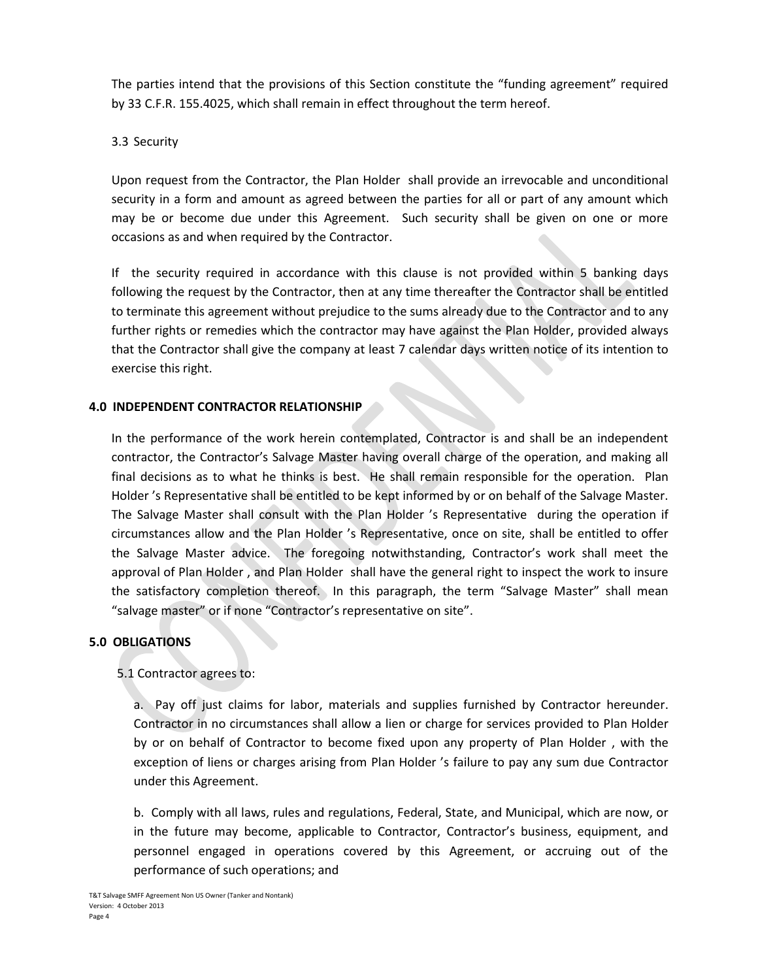The parties intend that the provisions of this Section constitute the "funding agreement" required by 33 C.F.R. 155.4025, which shall remain in effect throughout the term hereof.

## 3.3 Security

Upon request from the Contractor, the Plan Holder shall provide an irrevocable and unconditional security in a form and amount as agreed between the parties for all or part of any amount which may be or become due under this Agreement. Such security shall be given on one or more occasions as and when required by the Contractor.

If the security required in accordance with this clause is not provided within 5 banking days following the request by the Contractor, then at any time thereafter the Contractor shall be entitled to terminate this agreement without prejudice to the sums already due to the Contractor and to any further rights or remedies which the contractor may have against the Plan Holder, provided always that the Contractor shall give the company at least 7 calendar days written notice of its intention to exercise this right.

## **4.0 INDEPENDENT CONTRACTOR RELATIONSHIP**

In the performance of the work herein contemplated, Contractor is and shall be an independent contractor, the Contractor's Salvage Master having overall charge of the operation, and making all final decisions as to what he thinks is best. He shall remain responsible for the operation. Plan Holder 's Representative shall be entitled to be kept informed by or on behalf of the Salvage Master. The Salvage Master shall consult with the Plan Holder 's Representative during the operation if circumstances allow and the Plan Holder 's Representative, once on site, shall be entitled to offer the Salvage Master advice. The foregoing notwithstanding, Contractor's work shall meet the approval of Plan Holder , and Plan Holder shall have the general right to inspect the work to insure the satisfactory completion thereof. In this paragraph, the term "Salvage Master" shall mean "salvage master" or if none "Contractor's representative on site".

## **5.0 OBLIGATIONS**

## 5.1 Contractor agrees to:

a. Pay off just claims for labor, materials and supplies furnished by Contractor hereunder. Contractor in no circumstances shall allow a lien or charge for services provided to Plan Holder by or on behalf of Contractor to become fixed upon any property of Plan Holder , with the exception of liens or charges arising from Plan Holder 's failure to pay any sum due Contractor under this Agreement.

b. Comply with all laws, rules and regulations, Federal, State, and Municipal, which are now, or in the future may become, applicable to Contractor, Contractor's business, equipment, and personnel engaged in operations covered by this Agreement, or accruing out of the performance of such operations; and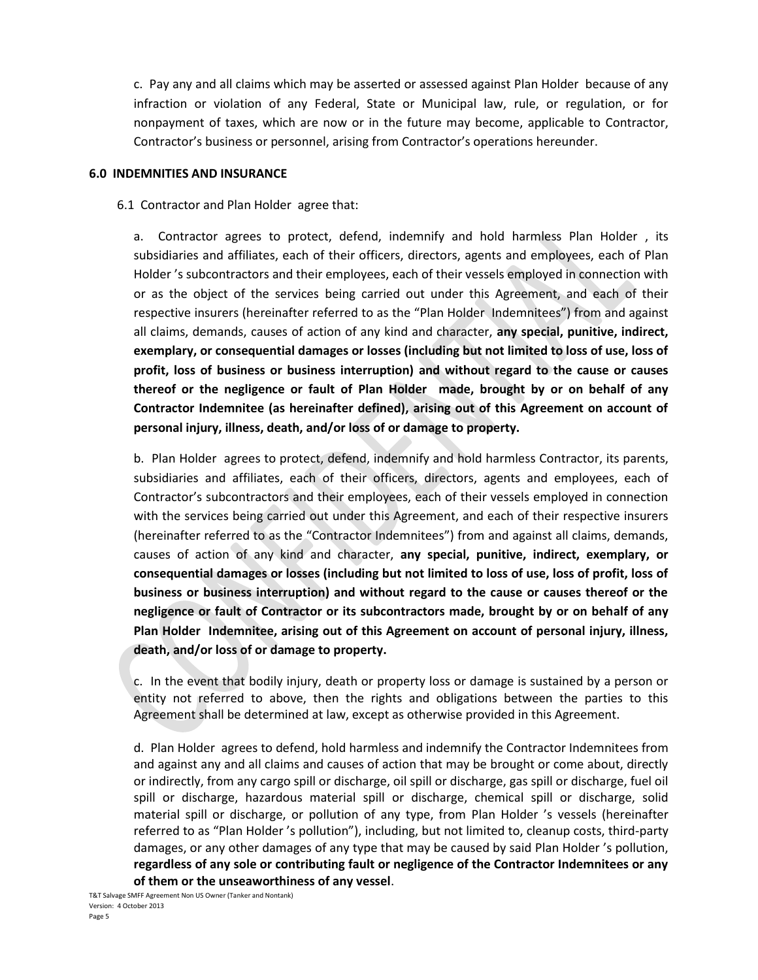c. Pay any and all claims which may be asserted or assessed against Plan Holder because of any infraction or violation of any Federal, State or Municipal law, rule, or regulation, or for nonpayment of taxes, which are now or in the future may become, applicable to Contractor, Contractor's business or personnel, arising from Contractor's operations hereunder.

#### **6.0 INDEMNITIES AND INSURANCE**

6.1 Contractor and Plan Holder agree that:

a. Contractor agrees to protect, defend, indemnify and hold harmless Plan Holder , its subsidiaries and affiliates, each of their officers, directors, agents and employees, each of Plan Holder 's subcontractors and their employees, each of their vessels employed in connection with or as the object of the services being carried out under this Agreement, and each of their respective insurers (hereinafter referred to as the "Plan Holder Indemnitees") from and against all claims, demands, causes of action of any kind and character, **any special, punitive, indirect, exemplary, or consequential damages or losses (including but not limited to loss of use, loss of profit, loss of business or business interruption) and without regard to the cause or causes thereof or the negligence or fault of Plan Holder made, brought by or on behalf of any Contractor Indemnitee (as hereinafter defined), arising out of this Agreement on account of personal injury, illness, death, and/or loss of or damage to property.**

b. Plan Holder agrees to protect, defend, indemnify and hold harmless Contractor, its parents, subsidiaries and affiliates, each of their officers, directors, agents and employees, each of Contractor's subcontractors and their employees, each of their vessels employed in connection with the services being carried out under this Agreement, and each of their respective insurers (hereinafter referred to as the "Contractor Indemnitees") from and against all claims, demands, causes of action of any kind and character, **any special, punitive, indirect, exemplary, or consequential damages or losses (including but not limited to loss of use, loss of profit, loss of business or business interruption) and without regard to the cause or causes thereof or the negligence or fault of Contractor or its subcontractors made, brought by or on behalf of any Plan Holder Indemnitee, arising out of this Agreement on account of personal injury, illness, death, and/or loss of or damage to property.**

c. In the event that bodily injury, death or property loss or damage is sustained by a person or entity not referred to above, then the rights and obligations between the parties to this Agreement shall be determined at law, except as otherwise provided in this Agreement.

d. Plan Holder agrees to defend, hold harmless and indemnify the Contractor Indemnitees from and against any and all claims and causes of action that may be brought or come about, directly or indirectly, from any cargo spill or discharge, oil spill or discharge, gas spill or discharge, fuel oil spill or discharge, hazardous material spill or discharge, chemical spill or discharge, solid material spill or discharge, or pollution of any type, from Plan Holder 's vessels (hereinafter referred to as "Plan Holder 's pollution"), including, but not limited to, cleanup costs, third-party damages, or any other damages of any type that may be caused by said Plan Holder 's pollution, **regardless of any sole or contributing fault or negligence of the Contractor Indemnitees or any of them or the unseaworthiness of any vessel**.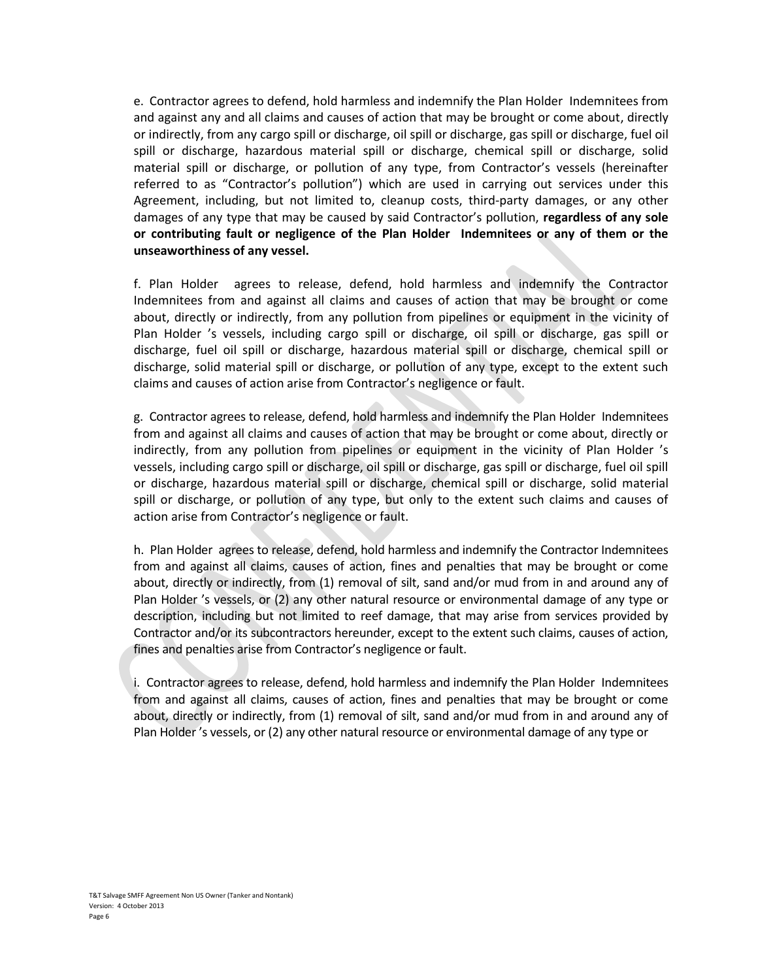e. Contractor agrees to defend, hold harmless and indemnify the Plan Holder Indemnitees from and against any and all claims and causes of action that may be brought or come about, directly or indirectly, from any cargo spill or discharge, oil spill or discharge, gas spill or discharge, fuel oil spill or discharge, hazardous material spill or discharge, chemical spill or discharge, solid material spill or discharge, or pollution of any type, from Contractor's vessels (hereinafter referred to as "Contractor's pollution") which are used in carrying out services under this Agreement, including, but not limited to, cleanup costs, third-party damages, or any other damages of any type that may be caused by said Contractor's pollution, **regardless of any sole or contributing fault or negligence of the Plan Holder Indemnitees or any of them or the unseaworthiness of any vessel.**

f. Plan Holder agrees to release, defend, hold harmless and indemnify the Contractor Indemnitees from and against all claims and causes of action that may be brought or come about, directly or indirectly, from any pollution from pipelines or equipment in the vicinity of Plan Holder 's vessels, including cargo spill or discharge, oil spill or discharge, gas spill or discharge, fuel oil spill or discharge, hazardous material spill or discharge, chemical spill or discharge, solid material spill or discharge, or pollution of any type, except to the extent such claims and causes of action arise from Contractor's negligence or fault.

g. Contractor agrees to release, defend, hold harmless and indemnify the Plan Holder Indemnitees from and against all claims and causes of action that may be brought or come about, directly or indirectly, from any pollution from pipelines or equipment in the vicinity of Plan Holder 's vessels, including cargo spill or discharge, oil spill or discharge, gas spill or discharge, fuel oil spill or discharge, hazardous material spill or discharge, chemical spill or discharge, solid material spill or discharge, or pollution of any type, but only to the extent such claims and causes of action arise from Contractor's negligence or fault.

h. Plan Holder agrees to release, defend, hold harmless and indemnify the Contractor Indemnitees from and against all claims, causes of action, fines and penalties that may be brought or come about, directly or indirectly, from (1) removal of silt, sand and/or mud from in and around any of Plan Holder 's vessels, or (2) any other natural resource or environmental damage of any type or description, including but not limited to reef damage, that may arise from services provided by Contractor and/or its subcontractors hereunder, except to the extent such claims, causes of action, fines and penalties arise from Contractor's negligence or fault.

i. Contractor agrees to release, defend, hold harmless and indemnify the Plan Holder Indemnitees from and against all claims, causes of action, fines and penalties that may be brought or come about, directly or indirectly, from (1) removal of silt, sand and/or mud from in and around any of Plan Holder 's vessels, or (2) any other natural resource or environmental damage of any type or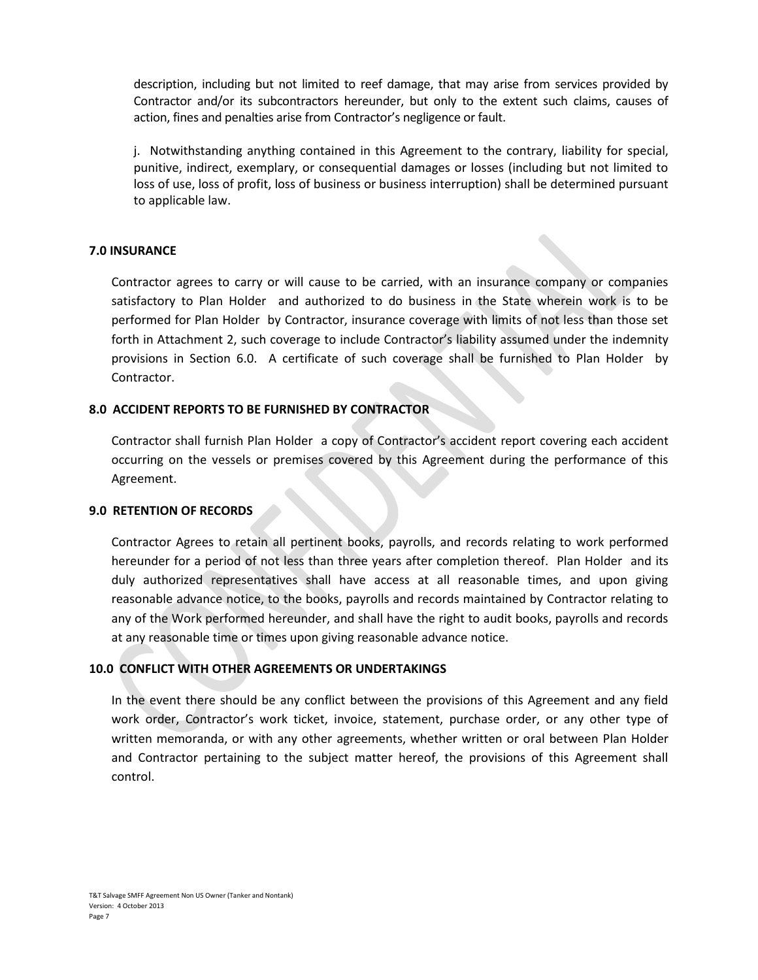description, including but not limited to reef damage, that may arise from services provided by Contractor and/or its subcontractors hereunder, but only to the extent such claims, causes of action, fines and penalties arise from Contractor's negligence or fault.

j. Notwithstanding anything contained in this Agreement to the contrary, liability for special, punitive, indirect, exemplary, or consequential damages or losses (including but not limited to loss of use, loss of profit, loss of business or business interruption) shall be determined pursuant to applicable law.

## **7.0 INSURANCE**

Contractor agrees to carry or will cause to be carried, with an insurance company or companies satisfactory to Plan Holder and authorized to do business in the State wherein work is to be performed for Plan Holder by Contractor, insurance coverage with limits of not less than those set forth in Attachment 2, such coverage to include Contractor's liability assumed under the indemnity provisions in Section 6.0. A certificate of such coverage shall be furnished to Plan Holder by Contractor.

## **8.0 ACCIDENT REPORTS TO BE FURNISHED BY CONTRACTOR**

Contractor shall furnish Plan Holder a copy of Contractor's accident report covering each accident occurring on the vessels or premises covered by this Agreement during the performance of this Agreement.

#### **9.0 RETENTION OF RECORDS**

Contractor Agrees to retain all pertinent books, payrolls, and records relating to work performed hereunder for a period of not less than three years after completion thereof. Plan Holder and its duly authorized representatives shall have access at all reasonable times, and upon giving reasonable advance notice, to the books, payrolls and records maintained by Contractor relating to any of the Work performed hereunder, and shall have the right to audit books, payrolls and records at any reasonable time or times upon giving reasonable advance notice.

## **10.0 CONFLICT WITH OTHER AGREEMENTS OR UNDERTAKINGS**

In the event there should be any conflict between the provisions of this Agreement and any field work order, Contractor's work ticket, invoice, statement, purchase order, or any other type of written memoranda, or with any other agreements, whether written or oral between Plan Holder and Contractor pertaining to the subject matter hereof, the provisions of this Agreement shall control.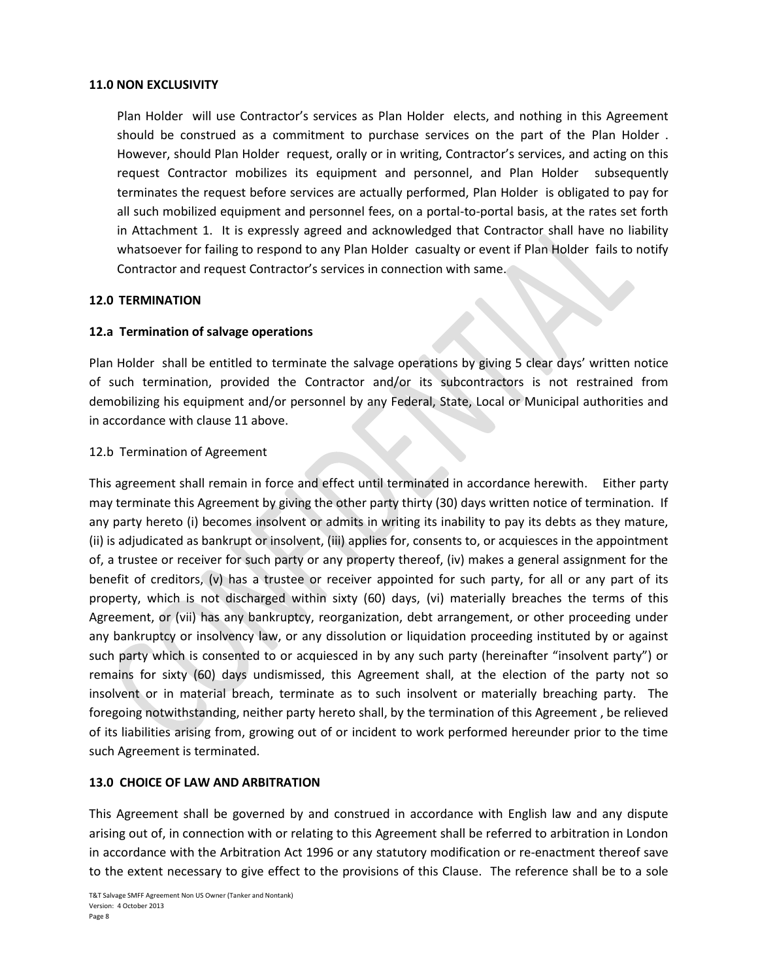#### **11.0 NON EXCLUSIVITY**

Plan Holder will use Contractor's services as Plan Holder elects, and nothing in this Agreement should be construed as a commitment to purchase services on the part of the Plan Holder . However, should Plan Holder request, orally or in writing, Contractor's services, and acting on this request Contractor mobilizes its equipment and personnel, and Plan Holder subsequently terminates the request before services are actually performed, Plan Holder is obligated to pay for all such mobilized equipment and personnel fees, on a portal-to-portal basis, at the rates set forth in Attachment 1. It is expressly agreed and acknowledged that Contractor shall have no liability whatsoever for failing to respond to any Plan Holder casualty or event if Plan Holder fails to notify Contractor and request Contractor's services in connection with same.

#### **12.0 TERMINATION**

#### **12.a Termination of salvage operations**

Plan Holder shall be entitled to terminate the salvage operations by giving 5 clear days' written notice of such termination, provided the Contractor and/or its subcontractors is not restrained from demobilizing his equipment and/or personnel by any Federal, State, Local or Municipal authorities and in accordance with clause 11 above.

#### 12.b Termination of Agreement

This agreement shall remain in force and effect until terminated in accordance herewith. Either party may terminate this Agreement by giving the other party thirty (30) days written notice of termination. If any party hereto (i) becomes insolvent or admits in writing its inability to pay its debts as they mature, (ii) is adjudicated as bankrupt or insolvent, (iii) applies for, consents to, or acquiesces in the appointment of, a trustee or receiver for such party or any property thereof, (iv) makes a general assignment for the benefit of creditors, (v) has a trustee or receiver appointed for such party, for all or any part of its property, which is not discharged within sixty (60) days, (vi) materially breaches the terms of this Agreement, or (vii) has any bankruptcy, reorganization, debt arrangement, or other proceeding under any bankruptcy or insolvency law, or any dissolution or liquidation proceeding instituted by or against such party which is consented to or acquiesced in by any such party (hereinafter "insolvent party") or remains for sixty (60) days undismissed, this Agreement shall, at the election of the party not so insolvent or in material breach, terminate as to such insolvent or materially breaching party. The foregoing notwithstanding, neither party hereto shall, by the termination of this Agreement , be relieved of its liabilities arising from, growing out of or incident to work performed hereunder prior to the time such Agreement is terminated.

## **13.0 CHOICE OF LAW AND ARBITRATION**

This Agreement shall be governed by and construed in accordance with English law and any dispute arising out of, in connection with or relating to this Agreement shall be referred to arbitration in London in accordance with the Arbitration Act 1996 or any statutory modification or re-enactment thereof save to the extent necessary to give effect to the provisions of this Clause. The reference shall be to a sole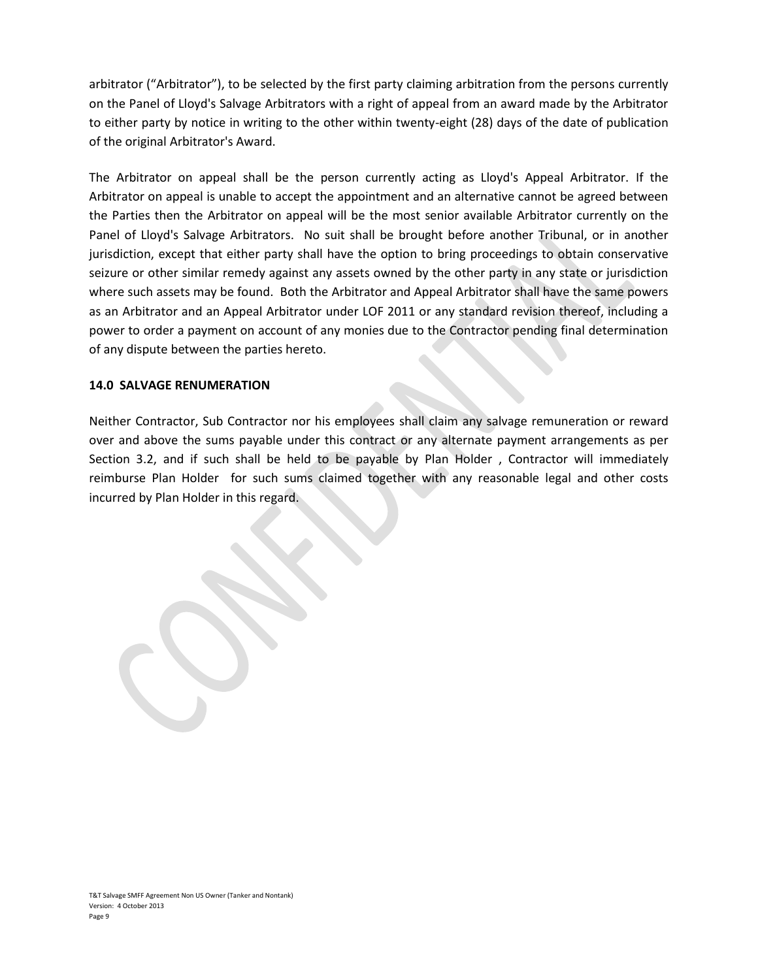arbitrator ("Arbitrator"), to be selected by the first party claiming arbitration from the persons currently on the Panel of Lloyd's Salvage Arbitrators with a right of appeal from an award made by the Arbitrator to either party by notice in writing to the other within twenty-eight (28) days of the date of publication of the original Arbitrator's Award.

The Arbitrator on appeal shall be the person currently acting as Lloyd's Appeal Arbitrator. If the Arbitrator on appeal is unable to accept the appointment and an alternative cannot be agreed between the Parties then the Arbitrator on appeal will be the most senior available Arbitrator currently on the Panel of Lloyd's Salvage Arbitrators. No suit shall be brought before another Tribunal, or in another jurisdiction, except that either party shall have the option to bring proceedings to obtain conservative seizure or other similar remedy against any assets owned by the other party in any state or jurisdiction where such assets may be found. Both the Arbitrator and Appeal Arbitrator shall have the same powers as an Arbitrator and an Appeal Arbitrator under LOF 2011 or any standard revision thereof, including a power to order a payment on account of any monies due to the Contractor pending final determination of any dispute between the parties hereto.

#### **14.0 SALVAGE RENUMERATION**

Neither Contractor, Sub Contractor nor his employees shall claim any salvage remuneration or reward over and above the sums payable under this contract or any alternate payment arrangements as per Section 3.2, and if such shall be held to be payable by Plan Holder , Contractor will immediately reimburse Plan Holder for such sums claimed together with any reasonable legal and other costs incurred by Plan Holder in this regard.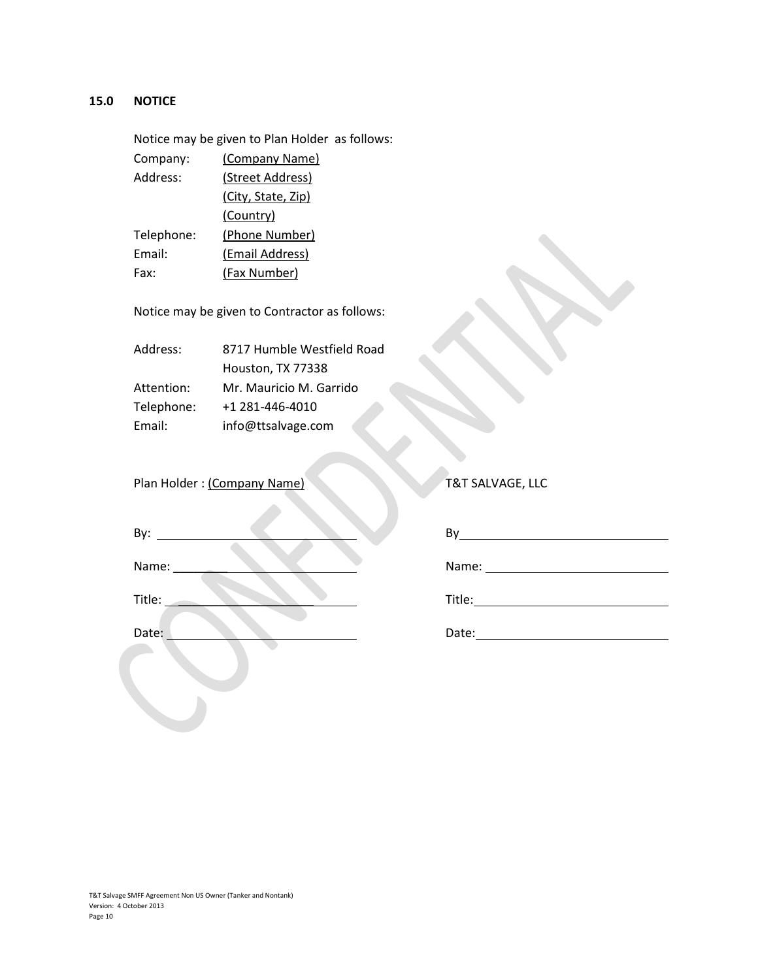## **15.0 NOTICE**

Notice may be given to Plan Holder as follows: Company: (Company Name) Address: (Street Address) (City, State, Zip) (Country) Telephone: (Phone Number) Email: (Email Address) Fax: (Fax Number)

Notice may be given to Contractor as follows:

| Address:   | 8717 Humble Westfield Road |
|------------|----------------------------|
|            | Houston, TX 77338          |
| Attention: | Mr. Mauricio M. Garrido    |
| Telephone: | +1 281-446-4010            |
| Email:     | info@ttsalvage.com         |

Plan Holder : (Company Name) T&T SALVAGE, LLC

| By:    | By     |
|--------|--------|
| Name:  | Name:  |
| Title: | Title: |
| Date:  | Date:  |